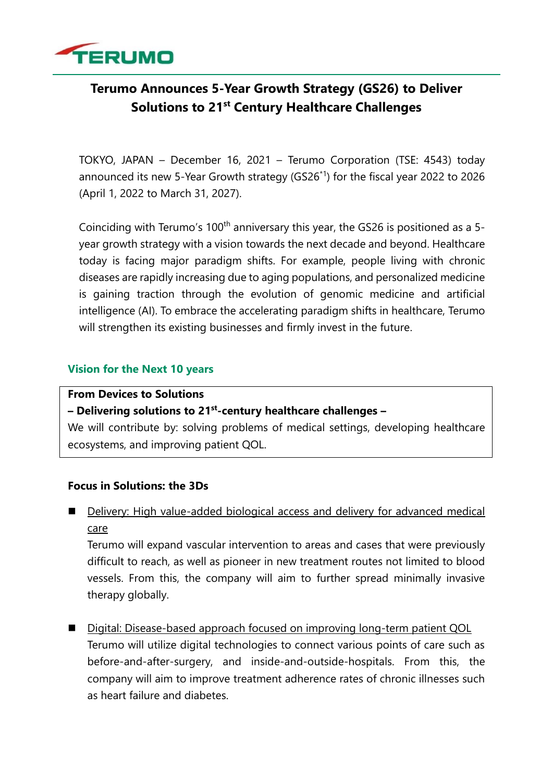

# **Terumo Announces 5-Year Growth Strategy (GS26) to Deliver Solutions to 21st Century Healthcare Challenges**

TOKYO, JAPAN – December 16, 2021 – Terumo Corporation (TSE: 4543) today announced its new 5-Year Growth strategy (GS26\*1) for the fiscal year 2022 to 2026 (April 1, 2022 to March 31, 2027).

Coinciding with Terumo's 100<sup>th</sup> anniversary this year, the GS26 is positioned as a 5year growth strategy with a vision towards the next decade and beyond. Healthcare today is facing major paradigm shifts. For example, people living with chronic diseases are rapidly increasing due to aging populations, and personalized medicine is gaining traction through the evolution of genomic medicine and artificial intelligence (AI). To embrace the accelerating paradigm shifts in healthcare, Terumo will strengthen its existing businesses and firmly invest in the future.

### **Vision for the Next 10 years**

#### **From Devices to Solutions**

## **– Delivering solutions to 21st -century healthcare challenges –**

We will contribute by: solving problems of medical settings, developing healthcare ecosystems, and improving patient QOL.

### **Focus in Solutions: the 3Ds**

■ Delivery: High value-added biological access and delivery for advanced medical care

Terumo will expand vascular intervention to areas and cases that were previously difficult to reach, as well as pioneer in new treatment routes not limited to blood vessels. From this, the company will aim to further spread minimally invasive therapy globally.

■ Digital: Disease-based approach focused on improving long-term patient QOL Terumo will utilize digital technologies to connect various points of care such as before-and-after-surgery, and inside-and-outside-hospitals. From this, the company will aim to improve treatment adherence rates of chronic illnesses such as heart failure and diabetes.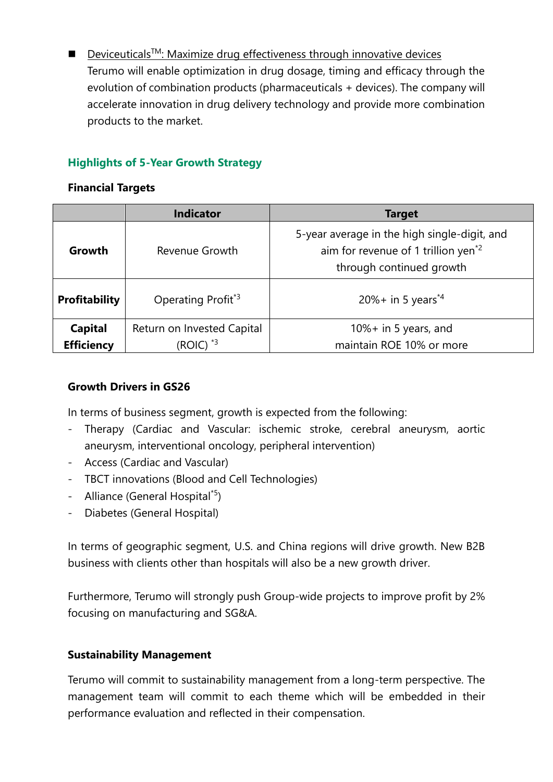■ Deviceuticals<sup>™</sup>: Maximize drug effectiveness through innovative devices Terumo will enable optimization in drug dosage, timing and efficacy through the evolution of combination products (pharmaceuticals + devices). The company will accelerate innovation in drug delivery technology and provide more combination products to the market.

# **Highlights of 5-Year Growth Strategy**

## **Financial Targets**

|                      | Indicator                      | <b>Target</b>                                                                                                               |
|----------------------|--------------------------------|-----------------------------------------------------------------------------------------------------------------------------|
| Growth               | Revenue Growth                 | 5-year average in the high single-digit, and<br>aim for revenue of 1 trillion yen <sup>*2</sup><br>through continued growth |
| <b>Profitability</b> | Operating Profit <sup>*3</sup> | 20% + in 5 years <sup><math>*4</math></sup>                                                                                 |
| <b>Capital</b>       | Return on Invested Capital     | $10\%$ + in 5 years, and                                                                                                    |
| <b>Efficiency</b>    | $(ROIC)^*$ <sup>3</sup>        | maintain ROE 10% or more                                                                                                    |

# **Growth Drivers in GS26**

In terms of business segment, growth is expected from the following:

- Therapy (Cardiac and Vascular: ischemic stroke, cerebral aneurysm, aortic aneurysm, interventional oncology, peripheral intervention)
- Access (Cardiac and Vascular)
- TBCT innovations (Blood and Cell Technologies)
- Alliance (General Hospital<sup>\*5</sup>)
- Diabetes (General Hospital)

In terms of geographic segment, U.S. and China regions will drive growth. New B2B business with clients other than hospitals will also be a new growth driver.

Furthermore, Terumo will strongly push Group-wide projects to improve profit by 2% focusing on manufacturing and SG&A.

## **Sustainability Management**

Terumo will commit to sustainability management from a long-term perspective. The management team will commit to each theme which will be embedded in their performance evaluation and reflected in their compensation.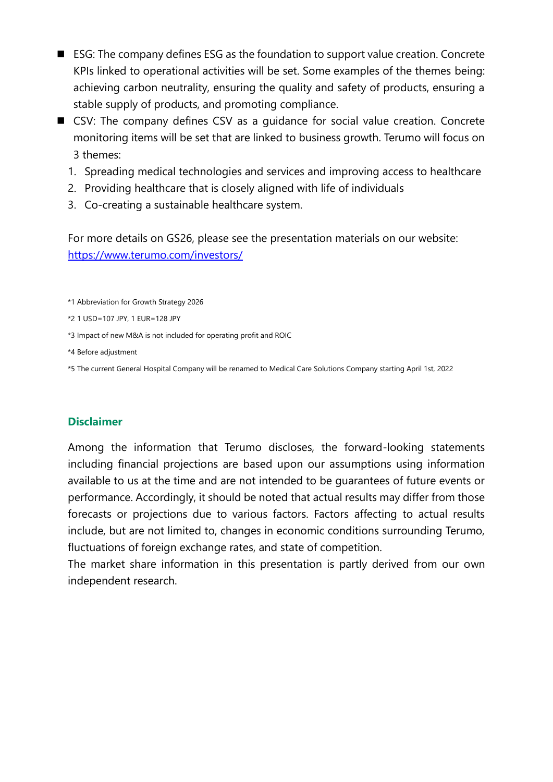- ESG: The company defines ESG as the foundation to support value creation. Concrete KPIs linked to operational activities will be set. Some examples of the themes being: achieving carbon neutrality, ensuring the quality and safety of products, ensuring a stable supply of products, and promoting compliance.
- CSV: The company defines CSV as a guidance for social value creation. Concrete monitoring items will be set that are linked to business growth. Terumo will focus on 3 themes:
	- 1. Spreading medical technologies and services and improving access to healthcare
	- 2. Providing healthcare that is closely aligned with life of individuals
	- 3. Co-creating a sustainable healthcare system.

For more details on GS26, please see the presentation materials on our website: <https://www.terumo.com/investors/>

\*1 Abbreviation for Growth Strategy 2026

- \*2 1 USD=107 JPY, 1 EUR=128 JPY
- \*3 Impact of new M&A is not included for operating profit and ROIC
- \*4 Before adjustment

\*5 The current General Hospital Company will be renamed to Medical Care Solutions Company starting April 1st, 2022

### **Disclaimer**

Among the information that Terumo discloses, the forward-looking statements including financial projections are based upon our assumptions using information available to us at the time and are not intended to be guarantees of future events or performance. Accordingly, it should be noted that actual results may differ from those forecasts or projections due to various factors. Factors affecting to actual results include, but are not limited to, changes in economic conditions surrounding Terumo, fluctuations of foreign exchange rates, and state of competition.

The market share information in this presentation is partly derived from our own independent research.